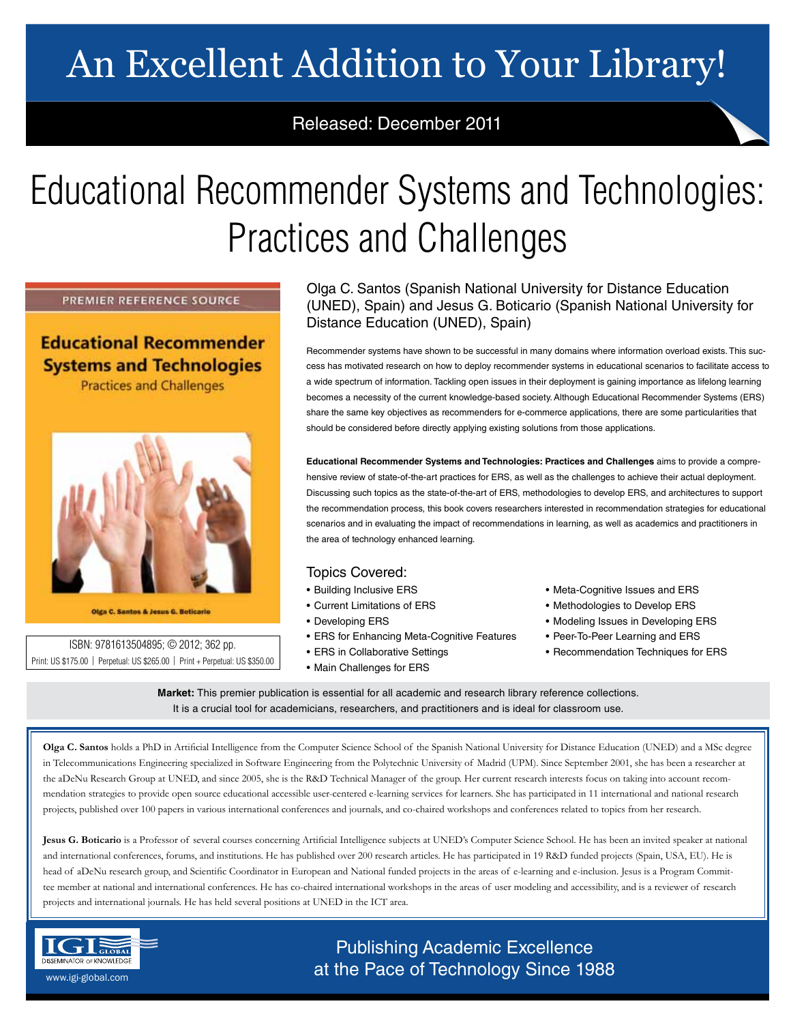# An Excellent Addition to Your Library!

## Released: December 2011

# Educational Recommender Systems and Technologies: Practices and Challenges

PREMIER REFERENCE SOURCE

**Educational Recommender Systems and Technologies** 

**Practices and Challenges** 



Olga C. Santos & Jesus G. Boticario

ISBN: 9781613504895; © 2012; 362 pp. Print: US \$175.00 | Perpetual: US \$265.00 | Print + Perpetual: US \$350.00

### Olga C. Santos (Spanish National University for Distance Education (UNED), Spain) and Jesus G. Boticario (Spanish National University for Distance Education (UNED), Spain)

Recommender systems have shown to be successful in many domains where information overload exists. This success has motivated research on how to deploy recommender systems in educational scenarios to facilitate access to a wide spectrum of information. Tackling open issues in their deployment is gaining importance as lifelong learning becomes a necessity of the current knowledge-based society. Although Educational Recommender Systems (ERS) share the same key objectives as recommenders for e-commerce applications, there are some particularities that should be considered before directly applying existing solutions from those applications.

**Educational Recommender Systems and Technologies: Practices and Challenges** aims to provide a comprehensive review of state-of-the-art practices for ERS, as well as the challenges to achieve their actual deployment. Discussing such topics as the state-of-the-art of ERS, methodologies to develop ERS, and architectures to support the recommendation process, this book covers researchers interested in recommendation strategies for educational scenarios and in evaluating the impact of recommendations in learning, as well as academics and practitioners in the area of technology enhanced learning.

### Topics Covered:

- Building Inclusive ERS
- Current Limitations of ERS
- Developing ERS
- ERS for Enhancing Meta-Cognitive Features
- ERS in Collaborative Settings
- Main Challenges for ERS
- Meta-Cognitive Issues and ERS
- Methodologies to Develop ERS
- Modeling Issues in Developing ERS
- Peer-To-Peer Learning and ERS
- Recommendation Techniques for ERS

**Market:** This premier publication is essential for all academic and research library reference collections. It is a crucial tool for academicians, researchers, and practitioners and is ideal for classroom use.

**Olga C. Santos** holds a PhD in Artificial Intelligence from the Computer Science School of the Spanish National University for Distance Education (UNED) and a MSc degree in Telecommunications Engineering specialized in Software Engineering from the Polytechnic University of Madrid (UPM). Since September 2001, she has been a researcher at the aDeNu Research Group at UNED, and since 2005, she is the R&D Technical Manager of the group. Her current research interests focus on taking into account recommendation strategies to provide open source educational accessible user-centered e-learning services for learners. She has participated in 11 international and national research projects, published over 100 papers in various international conferences and journals, and co-chaired workshops and conferences related to topics from her research.

**Jesus G. Boticario** is a Professor of several courses concerning Artificial Intelligence subjects at UNED's Computer Science School. He has been an invited speaker at national and international conferences, forums, and institutions. He has published over 200 research articles. He has participated in 19 R&D funded projects (Spain, USA, EU). He is head of aDeNu research group, and Scientific Coordinator in European and National funded projects in the areas of e-learning and e-inclusion. Jesus is a Program Committee member at national and international conferences. He has co-chaired international workshops in the areas of user modeling and accessibility, and is a reviewer of research projects and international journals. He has held several positions at UNED in the ICT area.



## Publishing Academic Excellence **DISSEMINATOR OF KNOWLEDGE**<br>WWW.igi-global.com